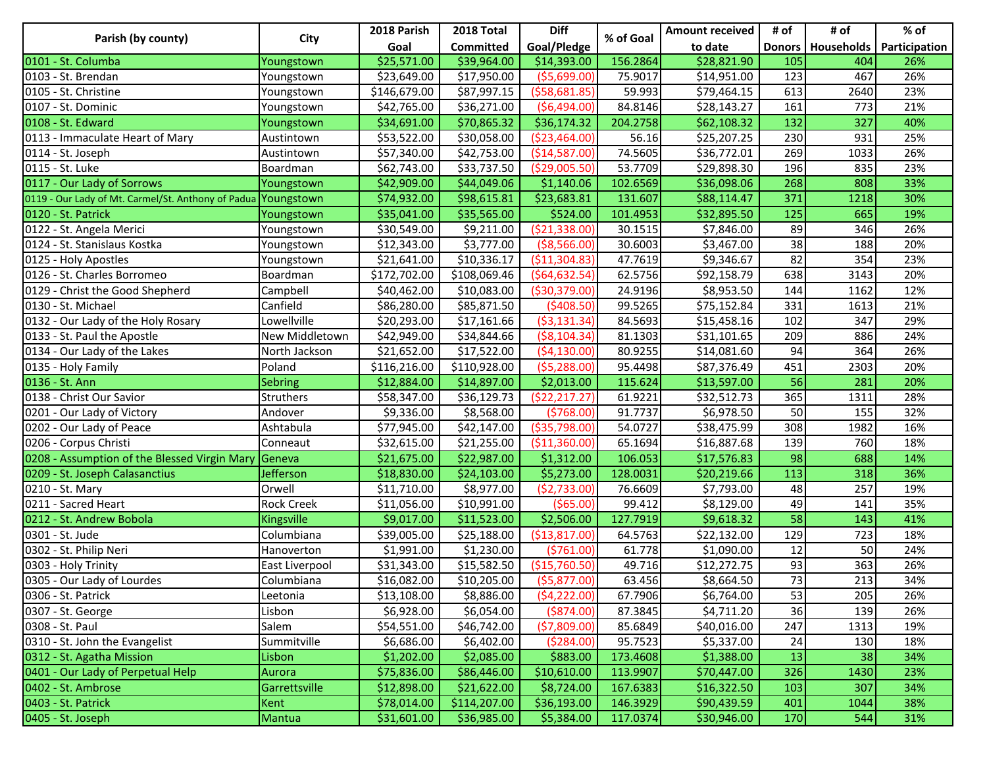| Parish (by county)                                  | City              | 2018 Parish  | 2018 Total       | <b>Diff</b>     | % of Goal | <b>Amount received</b> | # of | # of                | % of          |
|-----------------------------------------------------|-------------------|--------------|------------------|-----------------|-----------|------------------------|------|---------------------|---------------|
|                                                     |                   | Goal         | <b>Committed</b> | Goal/Pledge     |           | to date                |      | Donors   Households | Participation |
| 0101 - St. Columba                                  | Youngstown        | \$25,571.00  | \$39,964.00      | \$14,393.00     | 156.2864  | \$28,821.90            | 105  | 404                 | 26%           |
| 10103 - St. Brendan                                 | Youngstown        | \$23,649.00  | \$17,950.00      | ( \$5,699.00)   | 75.9017   | \$14,951.00            | 123  | 467                 | 26%           |
| 0105 - St. Christine                                | Youngstown        | \$146,679.00 | \$87,997.15      | ( \$58,681.85)  | 59.993    | \$79,464.15            | 613  | 2640                | 23%           |
| 0107 - St. Dominic                                  | Youngstown        | \$42,765.00  | \$36,271.00      | (56, 494.00)    | 84.8146   | \$28,143.27            | 161  | 773                 | 21%           |
| 0108 - St. Edward                                   | Youngstown        | \$34,691.00  | \$70,865.32      | \$36,174.32     | 204.2758  | \$62,108.32            | 132  | 327                 | 40%           |
| 0113 - Immaculate Heart of Mary                     | Austintown        | \$53,522.00  | \$30,058.00      | ( \$23,464.00)  | 56.16     | \$25,207.25            | 230  | 931                 | 25%           |
| 0114 - St. Joseph                                   | Austintown        | \$57,340.00  | \$42,753.00      | (\$14,587.00)   | 74.5605   | \$36,772.01            | 269  | 1033                | 26%           |
| 0115 - St. Luke                                     | Boardman          | \$62,743.00  | \$33,737.50      | ( \$29,005.50)  | 53.7709   | \$29,898.30            | 196  | 835                 | 23%           |
| 0117 - Our Lady of Sorrows                          | Youngstown        | \$42,909.00  | \$44,049.06      | \$1,140.06      | 102.6569  | \$36,098.06            | 268  | 808                 | 33%           |
| 0119 - Our Lady of Mt. Carmel/St. Anthony of Padua  | Youngstown        | \$74,932.00  | \$98,615.81      | \$23,683.81     | 131.607   | \$88,114.47            | 371  | 1218                | 30%           |
| 0120 - St. Patrick                                  | Youngstown        | \$35,041.00  | \$35,565.00      | \$524.00        | 101.4953  | \$32,895.50            | 125  | 665                 | 19%           |
| 0122 - St. Angela Merici                            | Youngstown        | \$30,549.00  | \$9,211.00       | ( \$21, 338.00) | 30.1515   | \$7,846.00             | 89   | 346                 | 26%           |
| 0124 - St. Stanislaus Kostka                        | Youngstown        | \$12,343.00  | \$3,777.00       | ( \$8,566.00)   | 30.6003   | \$3,467.00             | 38   | 188                 | 20%           |
| 0125 - Holy Apostles                                | Youngstown        | \$21,641.00  | \$10,336.17      | ( \$11,304.83)  | 47.7619   | \$9,346.67             | 82   | 354                 | 23%           |
| <b>1</b> 0126 - St. Charles Borromeo                | Boardman          | \$172,702.00 | \$108,069.46     | (564, 632.54)   | 62.5756   | \$92,158.79            | 638  | 3143                | 20%           |
| 0129 - Christ the Good Shepherd                     | Campbell          | \$40,462.00  | \$10,083.00      | ( \$30, 379.00) | 24.9196   | \$8,953.50             | 144  | 1162                | 12%           |
| 0130 - St. Michael                                  | Canfield          | \$86,280.00  | \$85,871.50      | ( \$408.50)     | 99.5265   | \$75,152.84            | 331  | 1613                | 21%           |
| 0132 - Our Lady of the Holy Rosary                  | Lowellville       | \$20,293.00  | \$17,161.66      | ( \$3,131.34)   | 84.5693   | \$15,458.16            | 102  | 347                 | 29%           |
| 0133 - St. Paul the Apostle                         | New Middletown    | \$42,949.00  | \$34,844.66      | ( \$8,104.34)   | 81.1303   | \$31,101.65            | 209  | 886                 | 24%           |
| 0134 - Our Lady of the Lakes                        | North Jackson     | \$21,652.00  | \$17,522.00      | (54, 130.00)    | 80.9255   | \$14,081.60            | 94   | 364                 | 26%           |
| 0135 - Holy Family                                  | Poland            | \$116,216.00 | \$110,928.00     | (55, 288.00)    | 95.4498   | \$87,376.49            | 451  | 2303                | 20%           |
| 0136 - St. Ann                                      | <b>Sebring</b>    | \$12,884.00  | \$14,897.00      | \$2,013.00      | 115.624   | \$13,597.00            | 56   | 281                 | 20%           |
| 0138 - Christ Our Savior                            | Struthers         | \$58,347.00  | \$36,129.73      | (\$22,217.27)   | 61.9221   | \$32,512.73            | 365  | 1311                | 28%           |
| 0201 - Our Lady of Victory                          | Andover           | \$9,336.00   | \$8,568.00       | (5768.00)       | 91.7737   | \$6,978.50             | 50   | 155                 | 32%           |
| 0202 - Our Lady of Peace                            | Ashtabula         | \$77,945.00  | \$42,147.00      | ( \$35,798.00)  | 54.0727   | \$38,475.99            | 308  | 1982                | 16%           |
| 0206 - Corpus Christi                               | Conneaut          | \$32,615.00  | \$21,255.00      | ( \$11,360.00)  | 65.1694   | \$16,887.68            | 139  | 760                 | 18%           |
| 0208 - Assumption of the Blessed Virgin Mary Geneva |                   | \$21,675.00  | \$22,987.00      | \$1,312.00      | 106.053   | \$17,576.83            | 98   | 688                 | 14%           |
| 0209 - St. Joseph Calasanctius                      | <b>Jefferson</b>  | \$18,830.00  | \$24,103.00      | \$5,273.00      | 128.0031  | \$20,219.66            | 113  | 318                 | 36%           |
| 0210 - St. Mary                                     | Orwell            | \$11,710.00  | \$8,977.00       | (52, 733.00)    | 76.6609   | \$7,793.00             | 48   | 257                 | 19%           |
| 0211 - Sacred Heart                                 | <b>Rock Creek</b> | \$11,056.00  | \$10,991.00      | (\$65.00)       | 99.412    | \$8,129.00             | 49   | 141                 | 35%           |
| 0212 - St. Andrew Bobola                            | Kingsville        | \$9,017.00   | \$11,523.00      | \$2,506.00      | 127.7919  | \$9,618.32             | 58   | 143                 | 41%           |
| 0301 - St. Jude                                     | Columbiana        | \$39,005.00  | \$25,188.00      | ( \$13, 817.00) | 64.5763   | \$22,132.00            | 129  | 723                 | 18%           |
| 0302 - St. Philip Neri                              | Hanoverton        | \$1,991.00   | \$1,230.00       | (5761.00)       | 61.778    | \$1,090.00             | 12   | 50                  | 24%           |
| 0303 - Holy Trinity                                 | East Liverpool    | \$31,343.00  | \$15,582.50      | (\$15,760.50)   | 49.716    | \$12,272.75            | 93   | 363                 | 26%           |
| 0305 - Our Lady of Lourdes                          | Columbiana        | \$16,082.00  | \$10,205.00      | ( \$5,877.00)   | 63.456    | \$8,664.50             | 73   | 213                 | 34%           |
| 0306 - St. Patrick                                  | Leetonia          | \$13,108.00  | \$8,886.00       | (54, 222.00)    | 67.7906   | \$6,764.00             | 53   | 205                 | 26%           |
| 0307 - St. George                                   | Lisbon            | \$6,928.00   | \$6,054.00       | ( \$874.00)     | 87.3845   | \$4,711.20             | 36   | 139                 | 26%           |
| 0308 - St. Paul                                     | Salem             | \$54,551.00  | \$46,742.00      | (57,809.00)     | 85.6849   | \$40,016.00            | 247  | 1313                | 19%           |
| 0310 - St. John the Evangelist                      | Summitville       | \$6,686.00   | \$6,402.00       | (5284.00)       | 95.7523   | \$5,337.00             | 24   | 130                 | 18%           |
| 0312 - St. Agatha Mission                           | Lisbon            | \$1,202.00   | \$2,085.00       | \$883.00        | 173.4608  | \$1,388.00             | 13   | 38                  | 34%           |
| 0401 - Our Lady of Perpetual Help                   | Aurora            | \$75,836.00  | \$86,446.00      | \$10,610.00     | 113.9907  | \$70,447.00            | 326  | 1430                | 23%           |
| 0402 - St. Ambrose                                  | Garrettsville     | \$12,898.00  | \$21,622.00      | \$8,724.00      | 167.6383  | \$16,322.50            | 103  | 307                 | 34%           |
| 0403 - St. Patrick                                  | <b>Kent</b>       | \$78,014.00  | \$114,207.00     | \$36,193.00     | 146.3929  | \$90,439.59            | 401  | 1044                | 38%           |
| 0405 - St. Joseph                                   | <b>Mantua</b>     | \$31,601.00  | \$36,985.00      | \$5,384.00      | 117.0374  | \$30,946.00            | 170  | 544                 | 31%           |